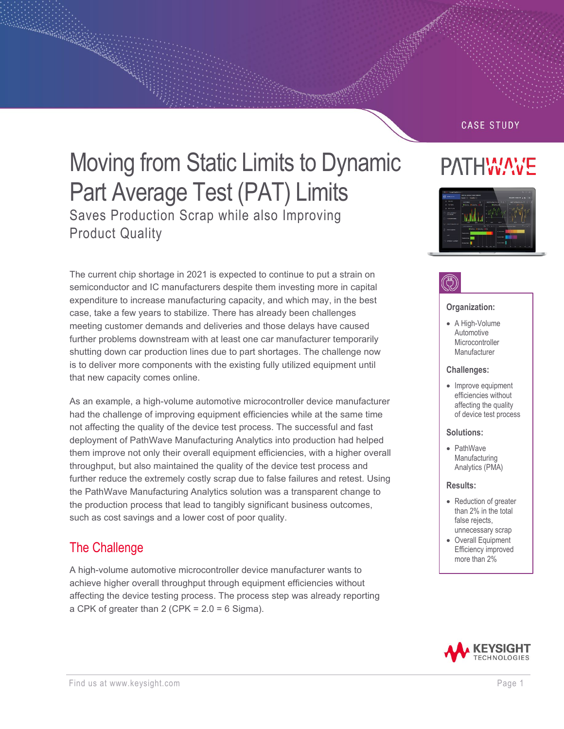### **CASE STUDY**

PATHWAVE

# Moving from Static Limits to Dynamic Part Average Test (PAT) Limits Saves Production Scrap while also Improving Product Quality

The current chip shortage in 2021 is expected to continue to put a strain on semiconductor and IC manufacturers despite them investing more in capital expenditure to increase manufacturing capacity, and which may, in the best case, take a few years to stabilize. There has already been challenges meeting customer demands and deliveries and those delays have caused further problems downstream with at least one car manufacturer temporarily shutting down car production lines due to part shortages. The challenge now is to deliver more components with the existing fully utilized equipment until that new capacity comes online.

As an example, a high-volume automotive microcontroller device manufacturer had the challenge of improving equipment efficiencies while at the same time not affecting the quality of the device test process. The successful and fast deployment of PathWave Manufacturing Analytics into production had helped them improve not only their overall equipment efficiencies, with a higher overall throughput, but also maintained the quality of the device test process and further reduce the extremely costly scrap due to false failures and retest. Using the PathWave Manufacturing Analytics solution was a transparent change to the production process that lead to tangibly significant business outcomes, such as cost savings and a lower cost of poor quality.

### The Challenge

A high-volume automotive microcontroller device manufacturer wants to achieve higher overall throughput through equipment efficiencies without affecting the device testing process. The process step was already reporting a CPK of greater than  $2$  (CPK =  $2.0 = 6$  Sigma).



#### **Organization:**

• A High-Volume Automotive **Microcontroller** Manufacturer

#### **Challenges:**

• Improve equipment efficiencies without affecting the quality of device test process

#### **Solutions:**

• PathWave Manufacturing Analytics (PMA)

#### **Results:**

- Reduction of greater than 2% in the total false rejects, unnecessary scrap
- Overall Equipment Efficiency improved more than 2%

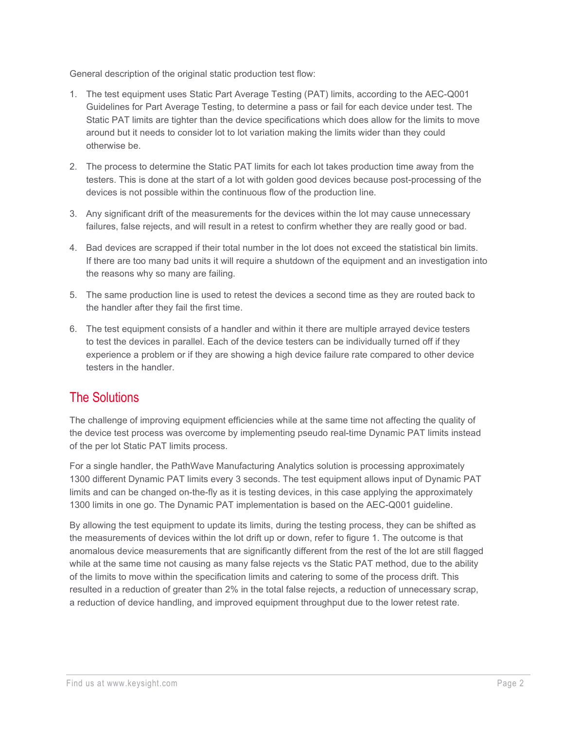General description of the original static production test flow:

- 1. The test equipment uses Static Part Average Testing (PAT) limits, according to the AEC-Q001 Guidelines for Part Average Testing, to determine a pass or fail for each device under test. The Static PAT limits are tighter than the device specifications which does allow for the limits to move around but it needs to consider lot to lot variation making the limits wider than they could otherwise be.
- 2. The process to determine the Static PAT limits for each lot takes production time away from the testers. This is done at the start of a lot with golden good devices because post-processing of the devices is not possible within the continuous flow of the production line.
- 3. Any significant drift of the measurements for the devices within the lot may cause unnecessary failures, false rejects, and will result in a retest to confirm whether they are really good or bad.
- 4. Bad devices are scrapped if their total number in the lot does not exceed the statistical bin limits. If there are too many bad units it will require a shutdown of the equipment and an investigation into the reasons why so many are failing.
- 5. The same production line is used to retest the devices a second time as they are routed back to the handler after they fail the first time.
- 6. The test equipment consists of a handler and within it there are multiple arrayed device testers to test the devices in parallel. Each of the device testers can be individually turned off if they experience a problem or if they are showing a high device failure rate compared to other device testers in the handler.

### The Solutions

The challenge of improving equipment efficiencies while at the same time not affecting the quality of the device test process was overcome by implementing pseudo real-time Dynamic PAT limits instead of the per lot Static PAT limits process.

For a single handler, the PathWave Manufacturing Analytics solution is processing approximately 1300 different Dynamic PAT limits every 3 seconds. The test equipment allows input of Dynamic PAT limits and can be changed on-the-fly as it is testing devices, in this case applying the approximately 1300 limits in one go. The Dynamic PAT implementation is based on the AEC-Q001 guideline.

By allowing the test equipment to update its limits, during the testing process, they can be shifted as the measurements of devices within the lot drift up or down, refer to figure 1. The outcome is that anomalous device measurements that are significantly different from the rest of the lot are still flagged while at the same time not causing as many false rejects vs the Static PAT method, due to the ability of the limits to move within the specification limits and catering to some of the process drift. This resulted in a reduction of greater than 2% in the total false rejects, a reduction of unnecessary scrap, a reduction of device handling, and improved equipment throughput due to the lower retest rate.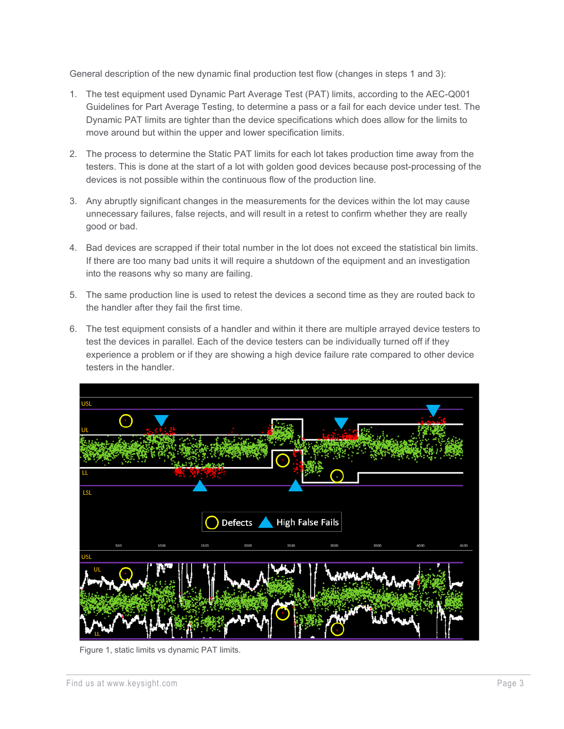General description of the new dynamic final production test flow (changes in steps 1 and 3):

- 1. The test equipment used Dynamic Part Average Test (PAT) limits, according to the AEC-Q001 Guidelines for Part Average Testing, to determine a pass or a fail for each device under test. The Dynamic PAT limits are tighter than the device specifications which does allow for the limits to move around but within the upper and lower specification limits.
- 2. The process to determine the Static PAT limits for each lot takes production time away from the testers. This is done at the start of a lot with golden good devices because post-processing of the devices is not possible within the continuous flow of the production line.
- 3. Any abruptly significant changes in the measurements for the devices within the lot may cause unnecessary failures, false rejects, and will result in a retest to confirm whether they are really good or bad.
- 4. Bad devices are scrapped if their total number in the lot does not exceed the statistical bin limits. If there are too many bad units it will require a shutdown of the equipment and an investigation into the reasons why so many are failing.
- 5. The same production line is used to retest the devices a second time as they are routed back to the handler after they fail the first time.
- 6. The test equipment consists of a handler and within it there are multiple arrayed device testers to test the devices in parallel. Each of the device testers can be individually turned off if they experience a problem or if they are showing a high device failure rate compared to other device testers in the handler.



Figure 1, static limits vs dynamic PAT limits.